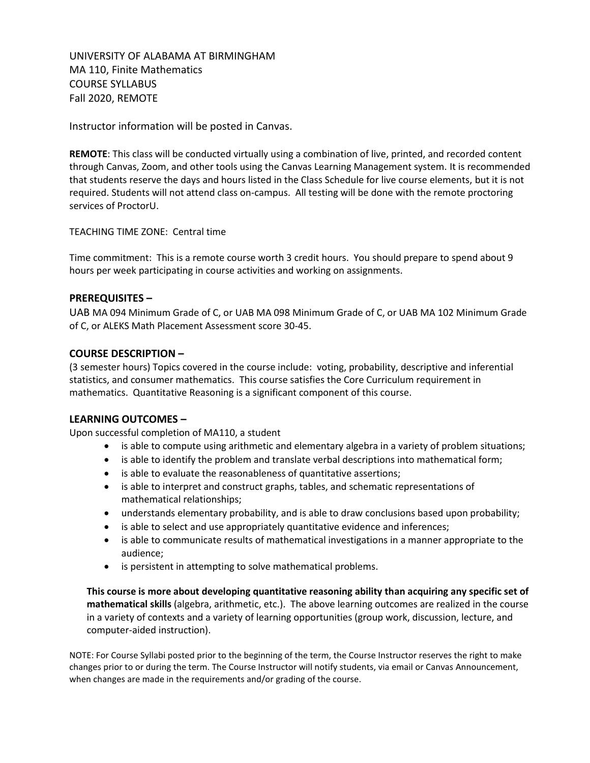UNIVERSITY OF ALABAMA AT BIRMINGHAM MA 110, Finite Mathematics COURSE SYLLABUS Fall 2020, REMOTE

Instructor information will be posted in Canvas.

**REMOTE**: This class will be conducted virtually using a combination of live, printed, and recorded content through Canvas, Zoom, and other tools using the Canvas Learning Management system. It is recommended that students reserve the days and hours listed in the Class Schedule for live course elements, but it is not required. Students will not attend class on-campus. All testing will be done with the remote proctoring services of ProctorU.

TEACHING TIME ZONE: Central time

Time commitment: This is a remote course worth 3 credit hours. You should prepare to spend about 9 hours per week participating in course activities and working on assignments.

#### **PREREQUISITES –**

UAB MA 094 Minimum Grade of C, or UAB MA 098 Minimum Grade of C, or UAB MA 102 Minimum Grade of C, or ALEKS Math Placement Assessment score 30-45.

#### **COURSE DESCRIPTION –**

(3 semester hours) Topics covered in the course include: voting, probability, descriptive and inferential statistics, and consumer mathematics. This course satisfies the Core Curriculum requirement in mathematics. Quantitative Reasoning is a significant component of this course.

#### **LEARNING OUTCOMES –**

Upon successful completion of MA110, a student

- is able to compute using arithmetic and elementary algebra in a variety of problem situations;
- is able to identify the problem and translate verbal descriptions into mathematical form;
- is able to evaluate the reasonableness of quantitative assertions;
- is able to interpret and construct graphs, tables, and schematic representations of mathematical relationships;
- understands elementary probability, and is able to draw conclusions based upon probability;
- is able to select and use appropriately quantitative evidence and inferences;
- is able to communicate results of mathematical investigations in a manner appropriate to the audience;
- is persistent in attempting to solve mathematical problems.

**This course is more about developing quantitative reasoning ability than acquiring any specific set of mathematical skills** (algebra, arithmetic, etc.). The above learning outcomes are realized in the course in a variety of contexts and a variety of learning opportunities (group work, discussion, lecture, and computer-aided instruction).

NOTE: For Course Syllabi posted prior to the beginning of the term, the Course Instructor reserves the right to make changes prior to or during the term. The Course Instructor will notify students, via email or Canvas Announcement, when changes are made in the requirements and/or grading of the course.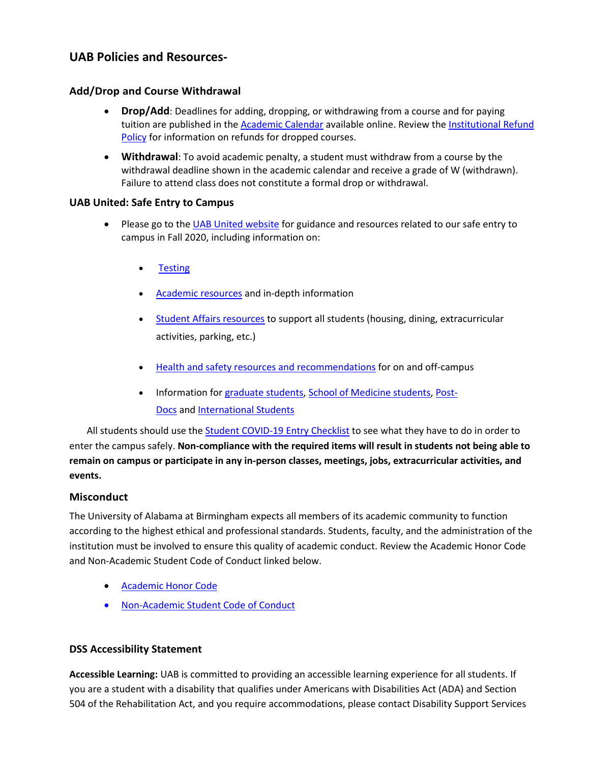# **UAB Policies and Resources-**

### **Add/Drop and Course Withdrawal**

- **Drop/Add**: Deadlines for adding, dropping, or withdrawing from a course and for paying tuition are published in the [Academic Calendar](https://www.uab.edu/students/academics/academic-calendar) available online. Review th[e Institutional Refund](https://www.uab.edu/students/one-stop/policies/institutional-refund-policy)  [Policy](https://www.uab.edu/students/one-stop/policies/institutional-refund-policy) for information on refunds for dropped courses.
- **Withdrawal**: To avoid academic penalty, a student must withdraw from a course by the withdrawal deadline shown in the academic calendar and receive a grade of W (withdrawn). Failure to attend class does not constitute a formal drop or withdrawal.

### **UAB United: Safe Entry to Campus**

- Please go to the [UAB United website](https://www.uab.edu/uabunited/students) for guidance and resources related to our safe entry to campus in Fall 2020, including information on:
	- **[Testing](https://www.uab.edu/uabunited/students/testing)**
	- [Academic resources](https://www.uab.edu/uabunited/students/academics) and in-depth information
	- [Student Affairs resources](https://www.uab.edu/uabunited/students/student-affairs) to support all students (housing, dining, extracurricular activities, parking, etc.)
	- [Health and safety resources and recommendations](https://www.uab.edu/uabunited/students/health-safety) for on and off-campus
	- Information for [graduate students,](https://www.uab.edu/graduate/about/graduate-school-covid-19-updates) [School of Medicine students,](https://www.uab.edu/medicine/home/covid-19-updates) [Post-](https://www.uab.edu/postdocs/covid-19)[Docs](https://www.uab.edu/postdocs/covid-19) and [International Students](https://www.uab.edu/global/about/programs-services/isss/faqs-concerning-recent-sevp-guidance-and-covid-19-planning)

All students should use the [Student COVID-19 Entry Checklist](https://www.uab.edu/uabunited/entry-checklists#student-checklist) to see what they have to do in order to enter the campus safely. **Non-compliance with the required items will result in students not being able to remain on campus or participate in any in-person classes, meetings, jobs, extracurricular activities, and events.**

### **Misconduct**

The University of Alabama at Birmingham expects all members of its academic community to function according to the highest ethical and professional standards. Students, faculty, and the administration of the institution must be involved to ensure this quality of academic conduct. Review the Academic Honor Code and Non-Academic Student Code of Conduct linked below.

- [Academic Honor Code](http://www.uab.edu/students/one-stop/policies/academic-honor-code)
- [Non-Academic Student Code of Conduct](http://www.uab.edu/studentconduct)

### **DSS Accessibility Statement**

**Accessible Learning:** UAB is committed to providing an accessible learning experience for all students. If you are a student with a disability that qualifies under Americans with Disabilities Act (ADA) and Section 504 of the Rehabilitation Act, and you require accommodations, please contact Disability Support Services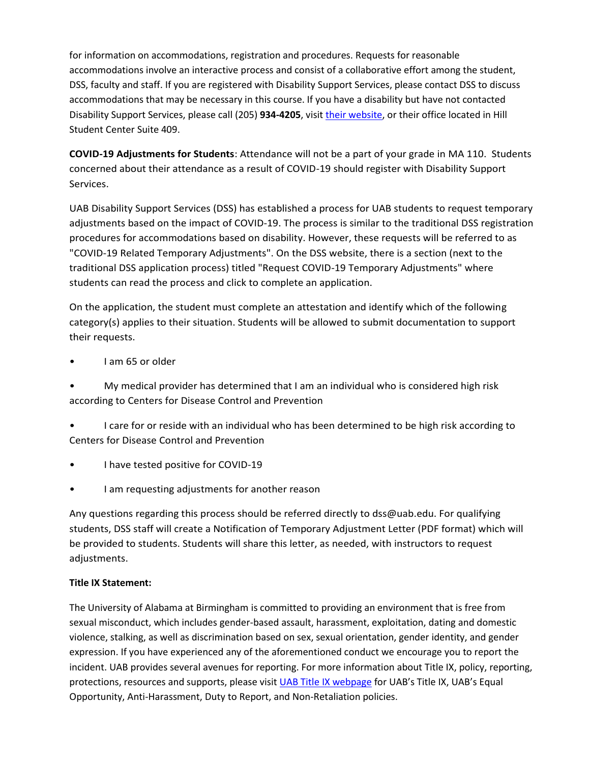for information on accommodations, registration and procedures. Requests for reasonable accommodations involve an interactive process and consist of a collaborative effort among the student, DSS, faculty and staff. If you are registered with Disability Support Services, please contact DSS to discuss accommodations that may be necessary in this course. If you have a disability but have not contacted Disability Support Services, please call (205) 934-4205, visit [their website,](http://www.uab.edu/dss) or their office located in Hill Student Center Suite 409.

**COVID-19 Adjustments for Students**: Attendance will not be a part of your grade in MA 110. Students concerned about their attendance as a result of COVID-19 should register with Disability Support Services.

UAB Disability Support Services (DSS) has established a process for UAB students to request temporary adjustments based on the impact of COVID-19. The process is similar to the traditional DSS registration procedures for accommodations based on disability. However, these requests will be referred to as "COVID-19 Related Temporary Adjustments". On the DSS website, there is a section (next to the traditional DSS application process) titled "Request COVID-19 Temporary Adjustments" where students can read the process and click to complete an application.

On the application, the student must complete an attestation and identify which of the following category(s) applies to their situation. Students will be allowed to submit documentation to support their requests.

• I am 65 or older

• My medical provider has determined that I am an individual who is considered high risk according to Centers for Disease Control and Prevention

• I care for or reside with an individual who has been determined to be high risk according to Centers for Disease Control and Prevention

- I have tested positive for COVID-19
- I am requesting adjustments for another reason

Any questions regarding this process should be referred directly to dss@uab.edu. For qualifying students, DSS staff will create a Notification of Temporary Adjustment Letter (PDF format) which will be provided to students. Students will share this letter, as needed, with instructors to request adjustments.

### **Title IX Statement:**

The University of Alabama at Birmingham is committed to providing an environment that is free from sexual misconduct, which includes gender-based assault, harassment, exploitation, dating and domestic violence, stalking, as well as discrimination based on sex, sexual orientation, gender identity, and gender expression. If you have experienced any of the aforementioned conduct we encourage you to report the incident. UAB provides several avenues for reporting. For more information about Title IX, policy, reporting, protections, resources and supports, please visit **UAB Title IX webpage for UAB's Title IX**, UAB's Equal Opportunity, Anti-Harassment, Duty to Report, and Non-Retaliation policies.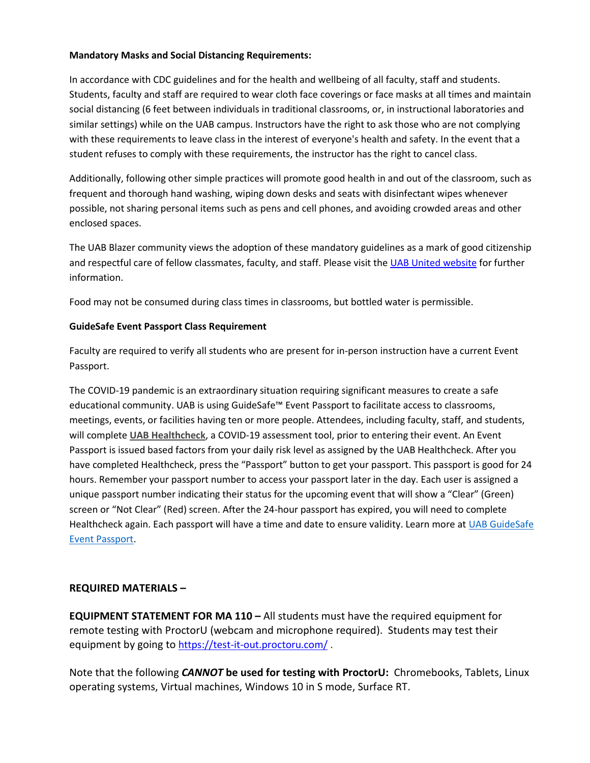### **Mandatory Masks and Social Distancing Requirements:**

In accordance with CDC guidelines and for the health and wellbeing of all faculty, staff and students. Students, faculty and staff are required to wear cloth face coverings or face masks at all times and maintain social distancing (6 feet between individuals in traditional classrooms, or, in instructional laboratories and similar settings) while on the UAB campus. Instructors have the right to ask those who are not complying with these requirements to leave class in the interest of everyone's health and safety. In the event that a student refuses to comply with these requirements, the instructor has the right to cancel class.

Additionally, following other simple practices will promote good health in and out of the classroom, such as frequent and thorough hand washing, wiping down desks and seats with disinfectant wipes whenever possible, not sharing personal items such as pens and cell phones, and avoiding crowded areas and other enclosed spaces.

The UAB Blazer community views the adoption of these mandatory guidelines as a mark of good citizenship and respectful care of fellow classmates, faculty, and staff. Please visit the [UAB United website](https://www.uab.edu/uabunited/students) for further information.

Food may not be consumed during class times in classrooms, but bottled water is permissible.

### **GuideSafe Event Passport Class Requirement**

Faculty are required to verify all students who are present for in-person instruction have a current Event Passport.

The COVID-19 pandemic is an extraordinary situation requiring significant measures to create a safe educational community. UAB is using GuideSafe™ Event Passport to facilitate access to classrooms, meetings, events, or facilities having ten or more people. Attendees, including faculty, staff, and students, will complete **[UAB Healthcheck](https://www.uab.edu/uabunited/uab-healthcheck)**, a COVID-19 assessment tool, prior to entering their event. An Event Passport is issued based factors from your daily risk level as assigned by the UAB Healthcheck. After you have completed Healthcheck, press the "Passport" button to get your passport. This passport is good for 24 hours. Remember your passport number to access your passport later in the day. Each user is assigned a unique passport number indicating their status for the upcoming event that will show a "Clear" (Green) screen or "Not Clear" (Red) screen. After the 24-hour passport has expired, you will need to complete Healthcheck again. Each passport will have a time and date to ensure validity. Learn more at [UAB GuideSafe](https://www.uab.edu/uabunited/guidesafe-event-passport)  [Event Passport.](https://www.uab.edu/uabunited/guidesafe-event-passport)

### **REQUIRED MATERIALS –**

**EQUIPMENT STATEMENT FOR MA 110 –** All students must have the required equipment for remote testing with ProctorU (webcam and microphone required). Students may test their equipment by going to <https://test-it-out.proctoru.com/>.

Note that the following *CANNOT* **be used for testing with ProctorU:** Chromebooks, Tablets, Linux operating systems, Virtual machines, Windows 10 in S mode, Surface RT.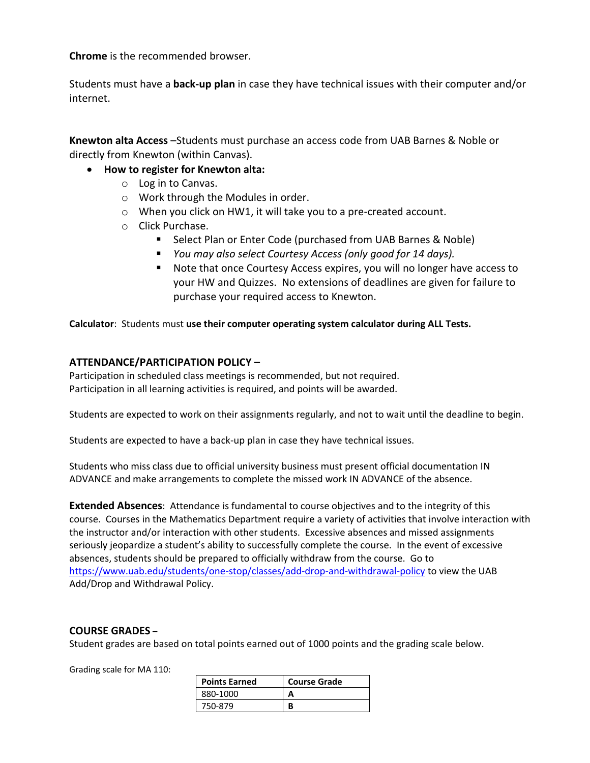**Chrome** is the recommended browser.

Students must have a **back-up plan** in case they have technical issues with their computer and/or internet.

**Knewton alta Access** –Students must purchase an access code from UAB Barnes & Noble or directly from Knewton (within Canvas).

- **How to register for Knewton alta:**
	- o Log in to Canvas.
	- o Work through the Modules in order.
	- o When you click on HW1, it will take you to a pre-created account.
	- o Click Purchase.
		- Select Plan or Enter Code (purchased from UAB Barnes & Noble)
		- *You may also select Courtesy Access (only good for 14 days).*
		- Note that once Courtesy Access expires, you will no longer have access to your HW and Quizzes. No extensions of deadlines are given for failure to purchase your required access to Knewton.

**Calculator**: Students must **use their computer operating system calculator during ALL Tests.** 

### **ATTENDANCE/PARTICIPATION POLICY –**

Participation in scheduled class meetings is recommended, but not required. Participation in all learning activities is required, and points will be awarded.

Students are expected to work on their assignments regularly, and not to wait until the deadline to begin.

Students are expected to have a back-up plan in case they have technical issues.

Students who miss class due to official university business must present official documentation IN ADVANCE and make arrangements to complete the missed work IN ADVANCE of the absence.

**Extended Absences**: Attendance is fundamental to course objectives and to the integrity of this course. Courses in the Mathematics Department require a variety of activities that involve interaction with the instructor and/or interaction with other students. Excessive absences and missed assignments seriously jeopardize a student's ability to successfully complete the course. In the event of excessive absences, students should be prepared to officially withdraw from the course. Go to <https://www.uab.edu/students/one-stop/classes/add-drop-and-withdrawal-policy> to view the UAB Add/Drop and Withdrawal Policy.

#### **COURSE GRADES –**

Student grades are based on total points earned out of 1000 points and the grading scale below.

Grading scale for MA 110:

| <b>Points Earned</b> | <b>Course Grade</b> |
|----------------------|---------------------|
| 880-1000             |                     |
| 750-879              |                     |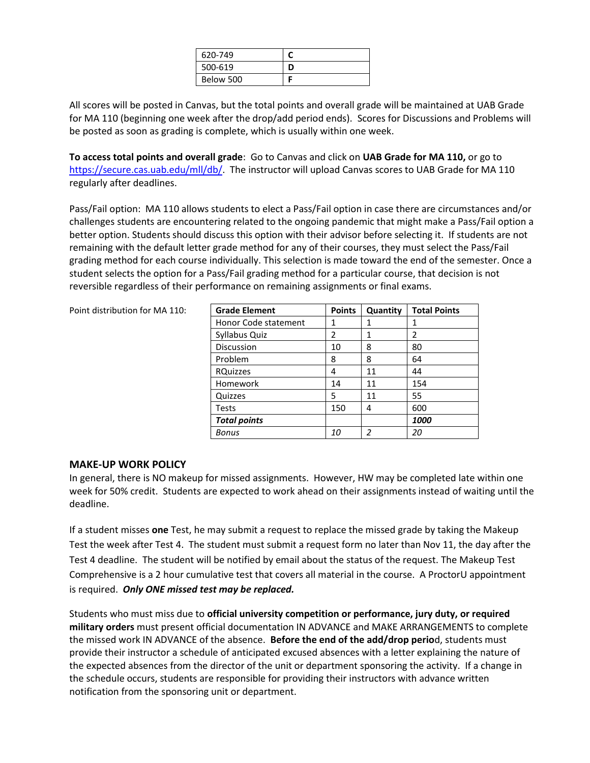| 620-749   |  |
|-----------|--|
| 500-619   |  |
| Below 500 |  |

All scores will be posted in Canvas, but the total points and overall grade will be maintained at UAB Grade for MA 110 (beginning one week after the drop/add period ends). Scores for Discussions and Problems will be posted as soon as grading is complete, which is usually within one week.

**To access total points and overall grade**: Go to Canvas and click on **UAB Grade for MA 110,** or go to [https://secure.cas.uab.edu/mll/db/.](https://secure.cas.uab.edu/mll/db/) The instructor will upload Canvas scores to UAB Grade for MA 110 regularly after deadlines.

Pass/Fail option: MA 110 allows students to elect a Pass/Fail option in case there are circumstances and/or challenges students are encountering related to the ongoing pandemic that might make a Pass/Fail option a better option. Students should discuss this option with their advisor before selecting it. If students are not remaining with the default letter grade method for any of their courses, they must select the Pass/Fail grading method for each course individually. This selection is made toward the end of the semester. Once a student selects the option for a Pass/Fail grading method for a particular course, that decision is not reversible regardless of their performance on remaining assignments or final exams.

Point distribution for MA 110:

| <b>Grade Element</b> | <b>Points</b> | Quantity      | <b>Total Points</b> |
|----------------------|---------------|---------------|---------------------|
| Honor Code statement | 1             | 1             | 1                   |
| Syllabus Quiz        | $\mathcal{P}$ | 1             | $\mathfrak z$       |
| <b>Discussion</b>    | 10            | 8             | 80                  |
| Problem              | 8             | 8             | 64                  |
| <b>RQuizzes</b>      | 4             | 11            | 44                  |
| Homework             | 14            | 11            | 154                 |
| Quizzes              | 5             | 11            | 55                  |
| <b>Tests</b>         | 150           | 4             | 600                 |
| <b>Total points</b>  |               |               | 1000                |
| Bonus                | 10            | $\mathfrak z$ | 20                  |

#### **MAKE-UP WORK POLICY**

In general, there is NO makeup for missed assignments. However, HW may be completed late within one week for 50% credit. Students are expected to work ahead on their assignments instead of waiting until the deadline.

If a student misses **one** Test, he may submit a request to replace the missed grade by taking the Makeup Test the week after Test 4. The student must submit a request form no later than Nov 11, the day after the Test 4 deadline. The student will be notified by email about the status of the request. The Makeup Test Comprehensive is a 2 hour cumulative test that covers all material in the course. A ProctorU appointment is required. *Only ONE missed test may be replaced.*

Students who must miss due to **official university competition or performance, jury duty, or required military orders** must present official documentation IN ADVANCE and MAKE ARRANGEMENTS to complete the missed work IN ADVANCE of the absence. **Before the end of the add/drop perio**d, students must provide their instructor a schedule of anticipated excused absences with a letter explaining the nature of the expected absences from the director of the unit or department sponsoring the activity. If a change in the schedule occurs, students are responsible for providing their instructors with advance written notification from the sponsoring unit or department.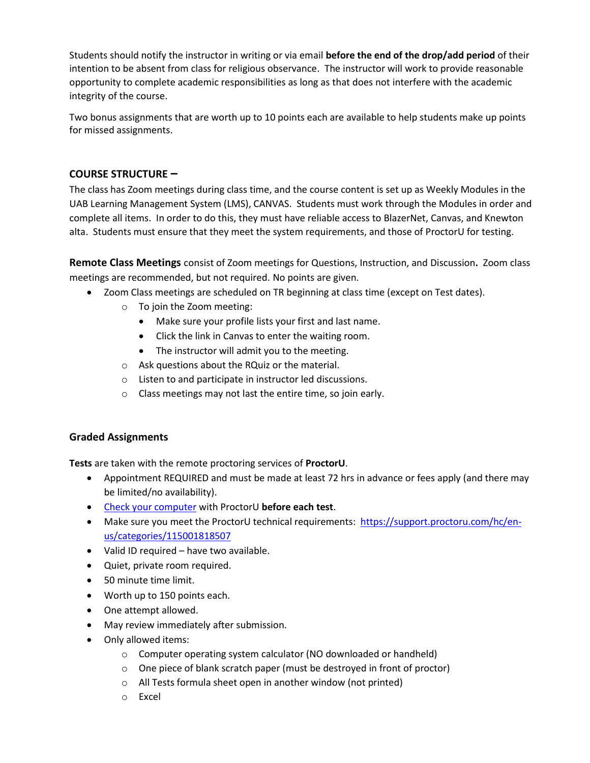Students should notify the instructor in writing or via email **before the end of the drop/add period** of their intention to be absent from class for religious observance. The instructor will work to provide reasonable opportunity to complete academic responsibilities as long as that does not interfere with the academic integrity of the course.

Two bonus assignments that are worth up to 10 points each are available to help students make up points for missed assignments.

## **COURSE STRUCTURE –**

The class has Zoom meetings during class time, and the course content is set up as Weekly Modules in the UAB Learning Management System (LMS), CANVAS. Students must work through the Modules in order and complete all items. In order to do this, they must have reliable access to BlazerNet, Canvas, and Knewton alta. Students must ensure that they meet the system requirements, and those of ProctorU for testing.

**Remote Class Meetings** consist of Zoom meetings for Questions, Instruction, and Discussion**.** Zoom class meetings are recommended, but not required. No points are given.

- Zoom Class meetings are scheduled on TR beginning at class time (except on Test dates).
	- o To join the Zoom meeting:
		- Make sure your profile lists your first and last name.
		- Click the link in Canvas to enter the waiting room.
		- The instructor will admit you to the meeting.
	- o Ask questions about the RQuiz or the material.
	- o Listen to and participate in instructor led discussions.
	- o Class meetings may not last the entire time, so join early.

## **Graded Assignments**

**Tests** are taken with the remote proctoring services of **ProctorU**.

- Appointment REQUIRED and must be made at least 72 hrs in advance or fees apply (and there may be limited/no availability).
- [Check your computer](https://proctoru.com/testitout) with ProctorU **before each test**.
- Make sure you meet the ProctorU technical requirements: [https://support.proctoru.com/hc/en](https://support.proctoru.com/hc/en-us/categories/115001818507)[us/categories/115001818507](https://support.proctoru.com/hc/en-us/categories/115001818507)
- Valid ID required have two available.
- Quiet, private room required.
- 50 minute time limit.
- Worth up to 150 points each.
- One attempt allowed.
- May review immediately after submission.
- Only allowed items:
	- o Computer operating system calculator (NO downloaded or handheld)
	- o One piece of blank scratch paper (must be destroyed in front of proctor)
	- o All Tests formula sheet open in another window (not printed)
	- o Excel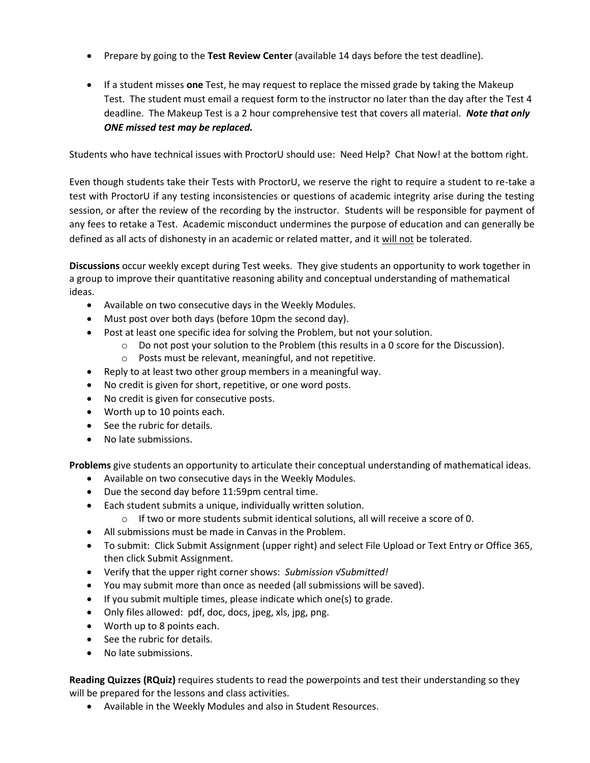- Prepare by going to the **Test Review Center** (available 14 days before the test deadline).
- If a student misses **one** Test, he may request to replace the missed grade by taking the Makeup Test. The student must email a request form to the instructor no later than the day after the Test 4 deadline. The Makeup Test is a 2 hour comprehensive test that covers all material. *Note that only ONE missed test may be replaced.*

Students who have technical issues with ProctorU should use: Need Help? Chat Now! at the bottom right.

Even though students take their Tests with ProctorU, we reserve the right to require a student to re-take a test with ProctorU if any testing inconsistencies or questions of academic integrity arise during the testing session, or after the review of the recording by the instructor. Students will be responsible for payment of any fees to retake a Test. Academic misconduct undermines the purpose of education and can generally be defined as all acts of dishonesty in an academic or related matter, and it will not be tolerated.

**Discussions** occur weekly except during Test weeks. They give students an opportunity to work together in a group to improve their quantitative reasoning ability and conceptual understanding of mathematical ideas.

- Available on two consecutive days in the Weekly Modules.
- Must post over both days (before 10pm the second day).
- Post at least one specific idea for solving the Problem, but not your solution.
	- $\circ$  Do not post your solution to the Problem (this results in a 0 score for the Discussion).
		- o Posts must be relevant, meaningful, and not repetitive.
- Reply to at least two other group members in a meaningful way.
- No credit is given for short, repetitive, or one word posts.
- No credit is given for consecutive posts.
- Worth up to 10 points each.
- See the rubric for details.
- No late submissions.

**Problems** give students an opportunity to articulate their conceptual understanding of mathematical ideas.

- Available on two consecutive days in the Weekly Modules.
- Due the second day before 11:59pm central time.
- Each student submits a unique, individually written solution.
	- $\circ$  If two or more students submit identical solutions, all will receive a score of 0.
- All submissions must be made in Canvas in the Problem.
- To submit: Click Submit Assignment (upper right) and select File Upload or Text Entry or Office 365, then click Submit Assignment.
- Verify that the upper right corner shows: *Submission √Submitted!*
- You may submit more than once as needed (all submissions will be saved).
- If you submit multiple times, please indicate which one(s) to grade.
- Only files allowed: pdf, doc, docs, jpeg, xls, jpg, png.
- Worth up to 8 points each.
- See the rubric for details.
- No late submissions.

**Reading Quizzes (RQuiz)** requires students to read the powerpoints and test their understanding so they will be prepared for the lessons and class activities.

• Available in the Weekly Modules and also in Student Resources.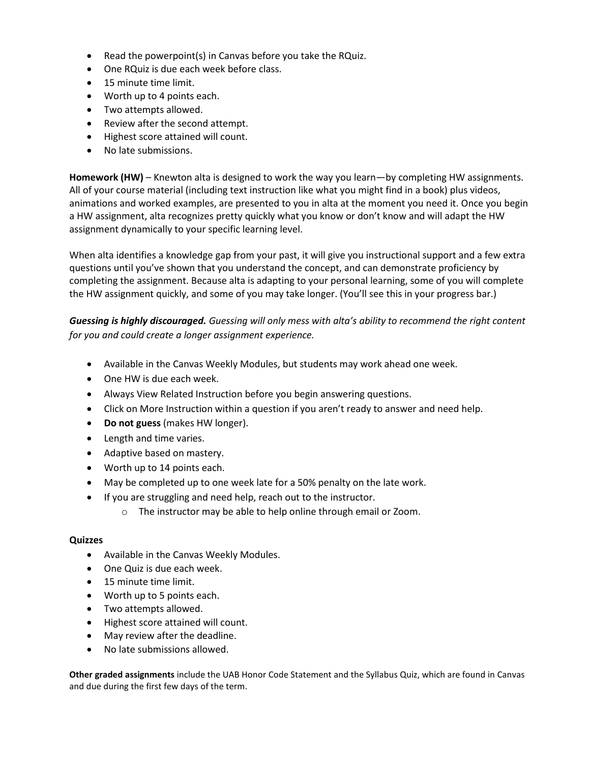- Read the powerpoint(s) in Canvas before you take the RQuiz.
- One RQuiz is due each week before class.
- 15 minute time limit.
- Worth up to 4 points each.
- Two attempts allowed.
- Review after the second attempt.
- Highest score attained will count.
- No late submissions.

**Homework (HW)** – Knewton alta is designed to work the way you learn—by completing HW assignments. All of your course material (including text instruction like what you might find in a book) plus videos, animations and worked examples, are presented to you in alta at the moment you need it. Once you begin a HW assignment, alta recognizes pretty quickly what you know or don't know and will adapt the HW assignment dynamically to your specific learning level.

When alta identifies a knowledge gap from your past, it will give you instructional support and a few extra questions until you've shown that you understand the concept, and can demonstrate proficiency by completing the assignment. Because alta is adapting to your personal learning, some of you will complete the HW assignment quickly, and some of you may take longer. (You'll see this in your progress bar.)

*Guessing is highly discouraged. Guessing will only mess with alta's ability to recommend the right content for you and could create a longer assignment experience.*

- Available in the Canvas Weekly Modules, but students may work ahead one week.
- One HW is due each week.
- Always View Related Instruction before you begin answering questions.
- Click on More Instruction within a question if you aren't ready to answer and need help.
- **Do not guess** (makes HW longer).
- Length and time varies.
- Adaptive based on mastery.
- Worth up to 14 points each.
- May be completed up to one week late for a 50% penalty on the late work.
- If you are struggling and need help, reach out to the instructor.
	- o The instructor may be able to help online through email or Zoom.

#### **Quizzes**

- Available in the Canvas Weekly Modules.
- One Quiz is due each week.
- 15 minute time limit.
- Worth up to 5 points each.
- Two attempts allowed.
- Highest score attained will count.
- May review after the deadline.
- No late submissions allowed.

**Other graded assignments** include the UAB Honor Code Statement and the Syllabus Quiz, which are found in Canvas and due during the first few days of the term.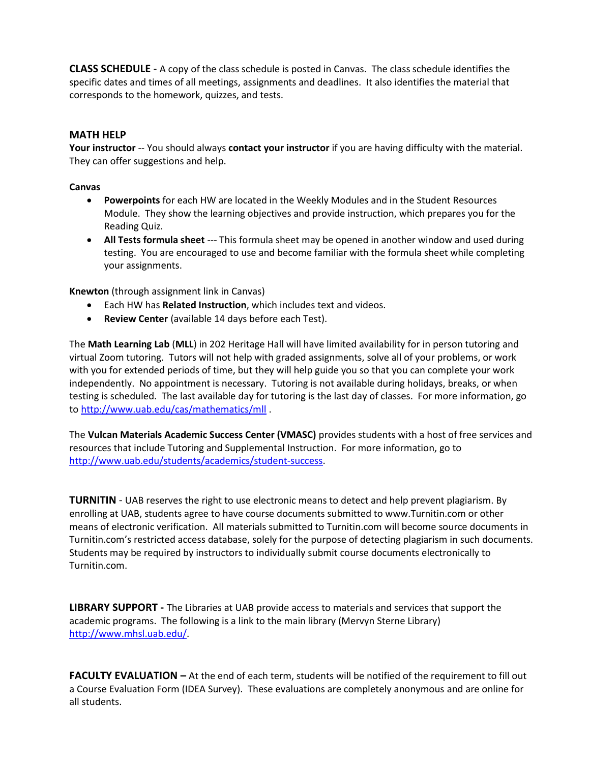**CLASS SCHEDULE** - A copy of the class schedule is posted in Canvas. The class schedule identifies the specific dates and times of all meetings, assignments and deadlines. It also identifies the material that corresponds to the homework, quizzes, and tests.

### **MATH HELP**

**Your instructor** -- You should always **contact your instructor** if you are having difficulty with the material. They can offer suggestions and help.

#### **Canvas**

- **Powerpoints** for each HW are located in the Weekly Modules and in the Student Resources Module. They show the learning objectives and provide instruction, which prepares you for the Reading Quiz.
- **All Tests formula sheet** --- This formula sheet may be opened in another window and used during testing. You are encouraged to use and become familiar with the formula sheet while completing your assignments.

**Knewton** (through assignment link in Canvas)

- Each HW has **Related Instruction**, which includes text and videos.
- **Review Center** (available 14 days before each Test).

The **Math Learning Lab** (**MLL**) in 202 Heritage Hall will have limited availability for in person tutoring and virtual Zoom tutoring. Tutors will not help with graded assignments, solve all of your problems, or work with you for extended periods of time, but they will help guide you so that you can complete your work independently. No appointment is necessary. Tutoring is not available during holidays, breaks, or when testing is scheduled. The last available day for tutoring is the last day of classes. For more information, go to<http://www.uab.edu/cas/mathematics/mll> .

The **Vulcan Materials Academic Success Center (VMASC)** provides students with a host of free services and resources that include Tutoring and Supplemental Instruction. For more information, go to [http://www.uab.edu/students/academics/student-success.](http://www.uab.edu/students/academics/student-success)

**TURNITIN** - UAB reserves the right to use electronic means to detect and help prevent plagiarism. By enrolling at UAB, students agree to have course documents submitted to www.Turnitin.com or other means of electronic verification. All materials submitted to Turnitin.com will become source documents in Turnitin.com's restricted access database, solely for the purpose of detecting plagiarism in such documents. Students may be required by instructors to individually submit course documents electronically to Turnitin.com.

**LIBRARY SUPPORT -** The Libraries at UAB provide access to materials and services that support the academic programs. The following is a link to the main library (Mervyn Sterne Library) [http://www.mhsl.uab.edu/.](http://www.mhsl.uab.edu/)

**FACULTY EVALUATION –** At the end of each term, students will be notified of the requirement to fill out a Course Evaluation Form (IDEA Survey). These evaluations are completely anonymous and are online for all students.